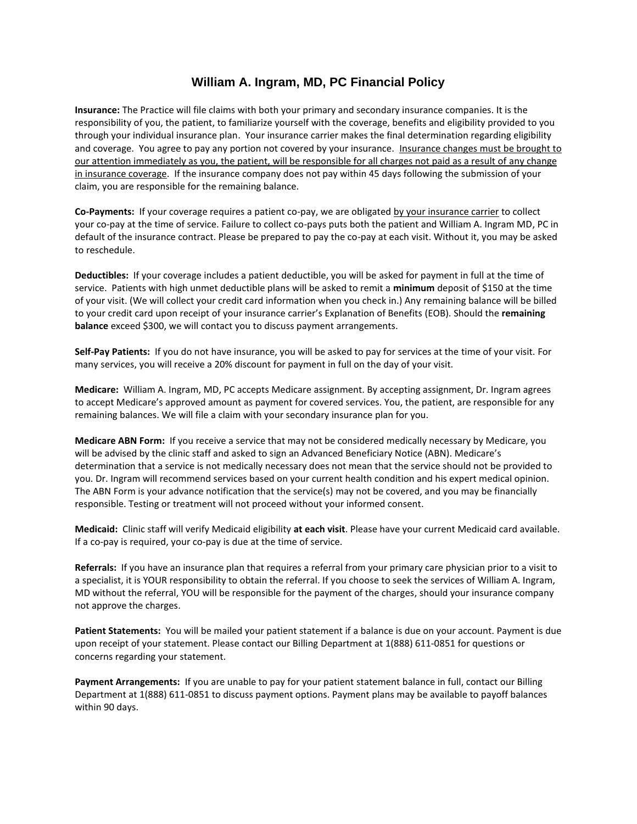## **William A. Ingram, MD, PC Financial Policy**

**Insurance:** The Practice will file claims with both your primary and secondary insurance companies. It is the responsibility of you, the patient, to familiarize yourself with the coverage, benefits and eligibility provided to you through your individual insurance plan. Your insurance carrier makes the final determination regarding eligibility and coverage. You agree to pay any portion not covered by your insurance. Insurance changes must be brought to our attention immediately as you, the patient, will be responsible for all charges not paid as a result of any change in insurance coverage. If the insurance company does not pay within 45 days following the submission of your claim, you are responsible for the remaining balance.

**Co-Payments:** If your coverage requires a patient co-pay, we are obligated by your insurance carrier to collect your co-pay at the time of service. Failure to collect co-pays puts both the patient and William A. Ingram MD, PC in default of the insurance contract. Please be prepared to pay the co-pay at each visit. Without it, you may be asked to reschedule.

**Deductibles:** If your coverage includes a patient deductible, you will be asked for payment in full at the time of service. Patients with high unmet deductible plans will be asked to remit a **minimum** deposit of \$150 at the time of your visit. (We will collect your credit card information when you check in.) Any remaining balance will be billed to your credit card upon receipt of your insurance carrier's Explanation of Benefits (EOB). Should the **remaining balance** exceed \$300, we will contact you to discuss payment arrangements.

**Self-Pay Patients:** If you do not have insurance, you will be asked to pay for services at the time of your visit. For many services, you will receive a 20% discount for payment in full on the day of your visit.

**Medicare:** William A. Ingram, MD, PC accepts Medicare assignment. By accepting assignment, Dr. Ingram agrees to accept Medicare's approved amount as payment for covered services. You, the patient, are responsible for any remaining balances. We will file a claim with your secondary insurance plan for you.

**Medicare ABN Form:** If you receive a service that may not be considered medically necessary by Medicare, you will be advised by the clinic staff and asked to sign an Advanced Beneficiary Notice (ABN). Medicare's determination that a service is not medically necessary does not mean that the service should not be provided to you. Dr. Ingram will recommend services based on your current health condition and his expert medical opinion. The ABN Form is your advance notification that the service(s) may not be covered, and you may be financially responsible. Testing or treatment will not proceed without your informed consent.

**Medicaid:** Clinic staff will verify Medicaid eligibility **at each visit**. Please have your current Medicaid card available. If a co-pay is required, your co-pay is due at the time of service.

**Referrals:** If you have an insurance plan that requires a referral from your primary care physician prior to a visit to a specialist, it is YOUR responsibility to obtain the referral. If you choose to seek the services of William A. Ingram, MD without the referral, YOU will be responsible for the payment of the charges, should your insurance company not approve the charges.

**Patient Statements:** You will be mailed your patient statement if a balance is due on your account. Payment is due upon receipt of your statement. Please contact our Billing Department at 1(888) 611-0851 for questions or concerns regarding your statement.

**Payment Arrangements:** If you are unable to pay for your patient statement balance in full, contact our Billing Department at 1(888) 611-0851 to discuss payment options. Payment plans may be available to payoff balances within 90 days.